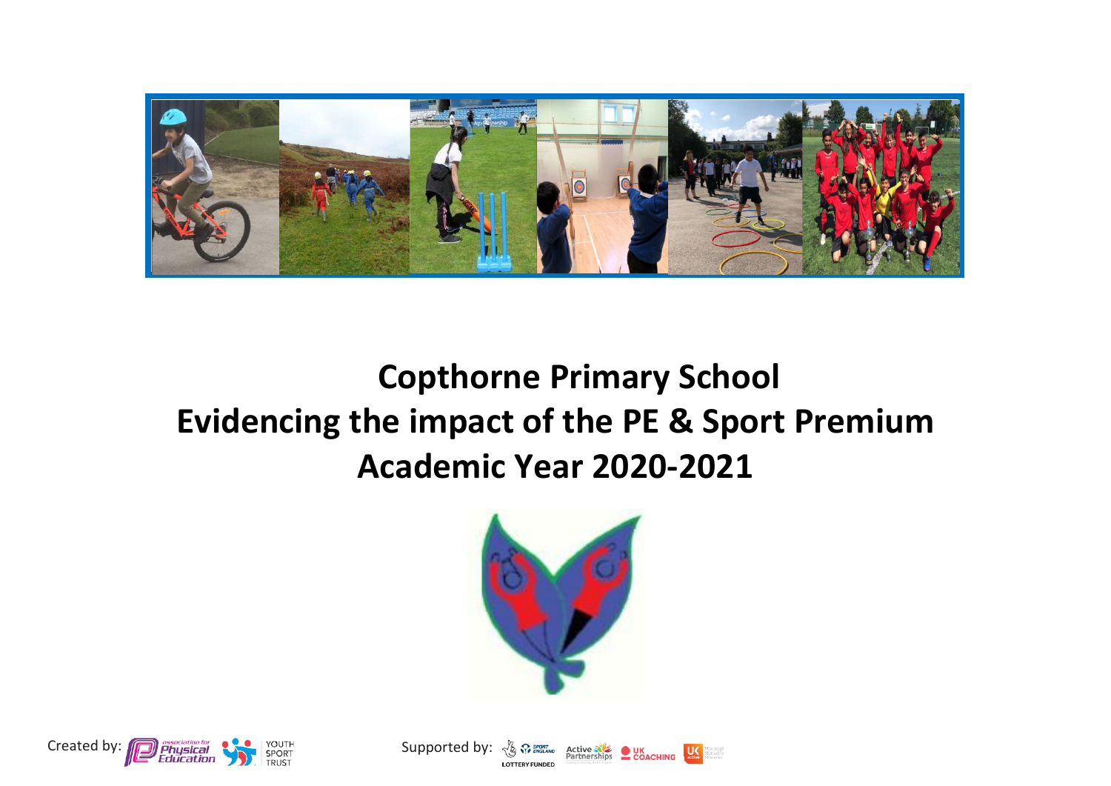

## **Copthorne Primary School Evidencing the impact of the PE & Sport Premium Academic Year 2020-2021**





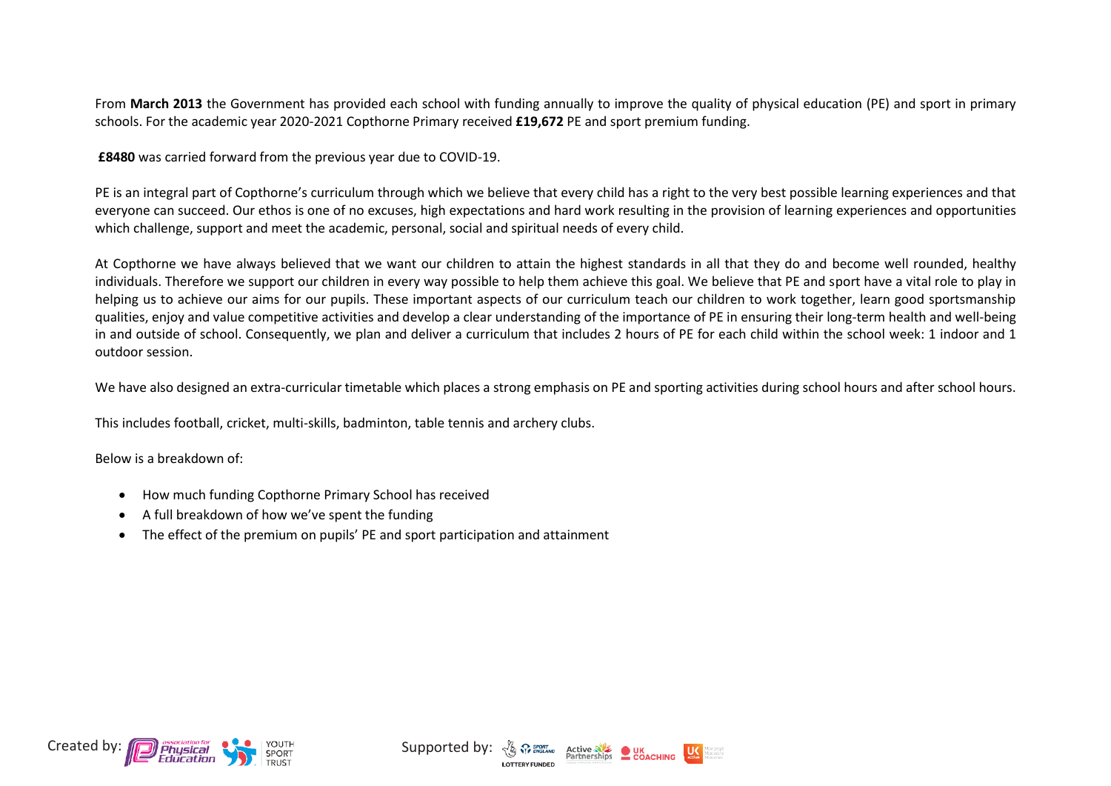From **March 2013** the Government has provided each school with funding annually to improve the quality of physical education (PE) and sport in primary schools. For the academic year 2020-2021 Copthorne Primary received **£19,672** PE and sport premium funding.

**£8480** was carried forward from the previous year due to COVID-19.

PE is an integral part of Copthorne's curriculum through which we believe that every child has a right to the very best possible learning experiences and that everyone can succeed. Our ethos is one of no excuses, high expectations and hard work resulting in the provision of learning experiences and opportunities which challenge, support and meet the academic, personal, social and spiritual needs of every child.

At Copthorne we have always believed that we want our children to attain the highest standards in all that they do and become well rounded, healthy individuals. Therefore we support our children in every way possible to help them achieve this goal. We believe that PE and sport have a vital role to play in helping us to achieve our aims for our pupils. These important aspects of our curriculum teach our children to work together, learn good sportsmanship qualities, enjoy and value competitive activities and develop a clear understanding of the importance of PE in ensuring their long-term health and well-being in and outside of school. Consequently, we plan and deliver a curriculum that includes 2 hours of PE for each child within the school week: 1 indoor and 1 outdoor session.

We have also designed an extra-curricular timetable which places a strong emphasis on PE and sporting activities during school hours and after school hours.

This includes football, cricket, multi-skills, badminton, table tennis and archery clubs.

Below is a breakdown of:

- How much funding Copthorne Primary School has received
- A full breakdown of how we've spent the funding
- The effect of the premium on pupils' PE and sport participation and attainment



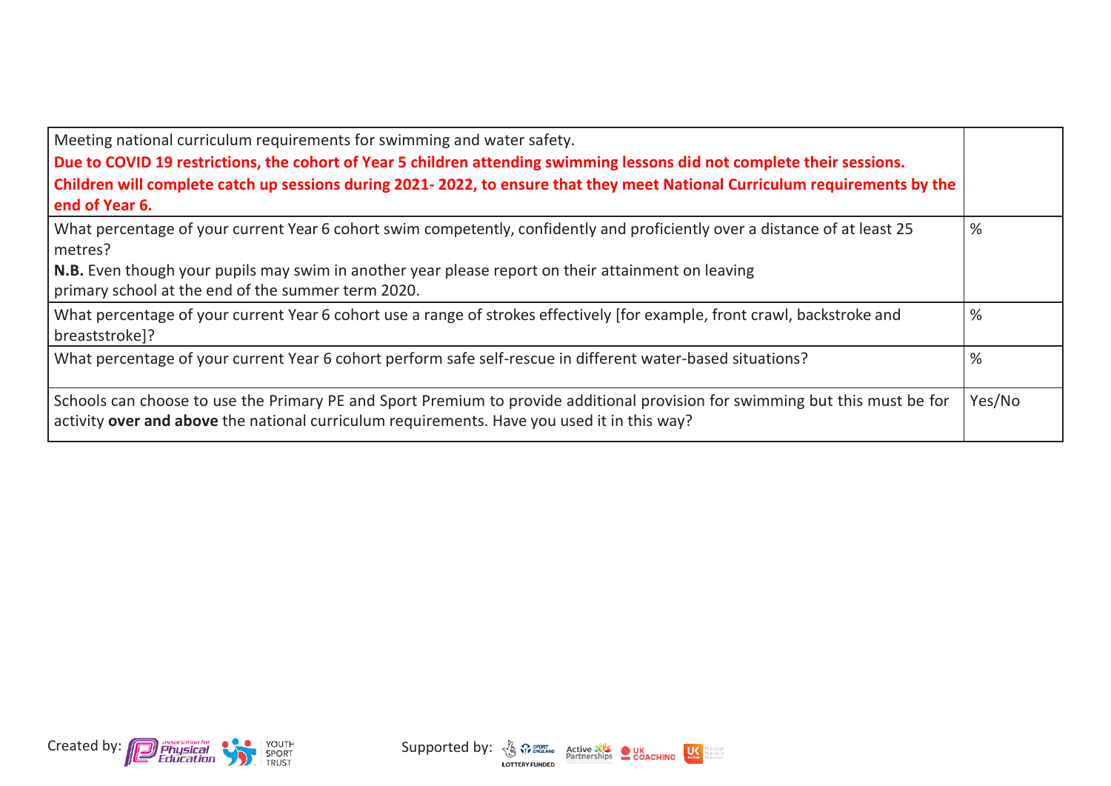| Meeting national curriculum requirements for swimming and water safety.<br>Due to COVID 19 restrictions, the cohort of Year 5 children attending swimming lessons did not complete their sessions.<br>Children will complete catch up sessions during 2021-2022, to ensure that they meet National Curriculum requirements by the<br>end of Year 6. |        |
|-----------------------------------------------------------------------------------------------------------------------------------------------------------------------------------------------------------------------------------------------------------------------------------------------------------------------------------------------------|--------|
| What percentage of your current Year 6 cohort swim competently, confidently and proficiently over a distance of at least 25<br>metres?<br>N.B. Even though your pupils may swim in another year please report on their attainment on leaving<br>primary school at the end of the summer term 2020.                                                  | %      |
| What percentage of your current Year 6 cohort use a range of strokes effectively [for example, front crawl, backstroke and<br>breaststroke]?                                                                                                                                                                                                        | %      |
| What percentage of your current Year 6 cohort perform safe self-rescue in different water-based situations?                                                                                                                                                                                                                                         | %      |
| Schools can choose to use the Primary PE and Sport Premium to provide additional provision for swimming but this must be for<br>activity over and above the national curriculum requirements. Have you used it in this way?                                                                                                                         | Yes/No |



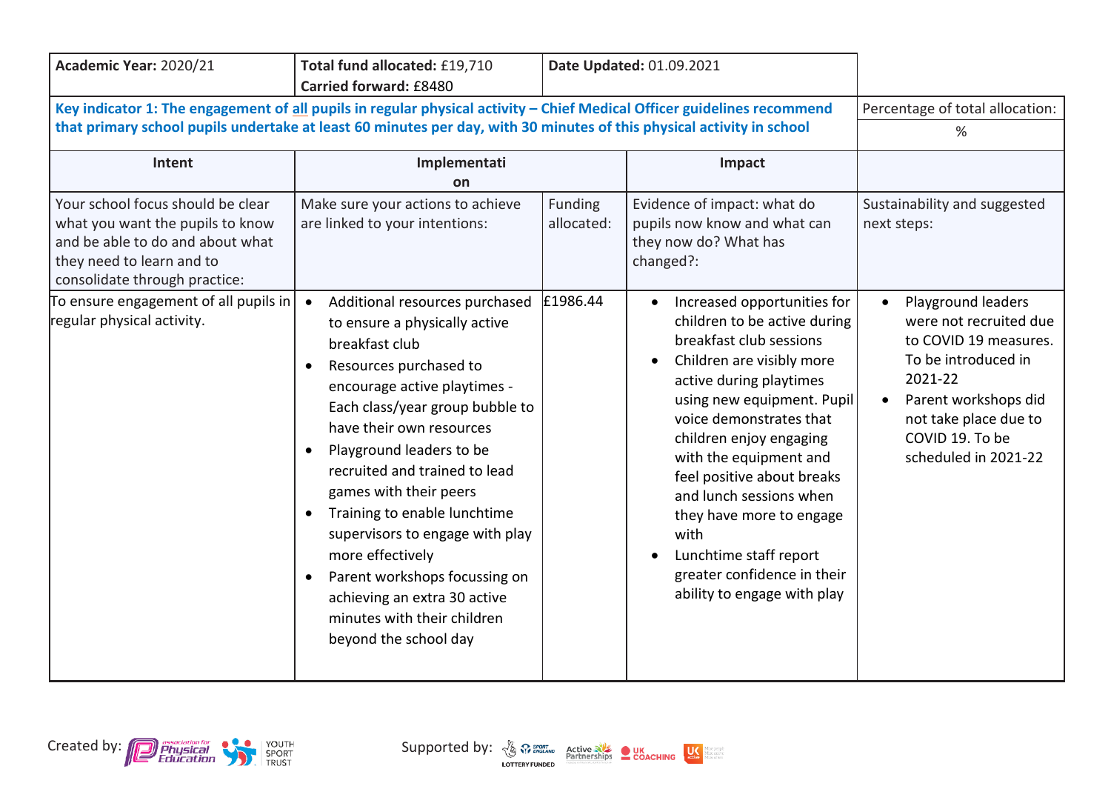| Academic Year: 2020/21                                                                                                                                                                                           | Total fund allocated: £19,710<br>Carried forward: £8480                                                                                                                                                                                                                                                                                                                                                                                                                                                   |                                          | Date Updated: 01.09.2021                                                                                                                                                                                                                                                                                                                                                                                                                     |                                                                                                                                                                               |
|------------------------------------------------------------------------------------------------------------------------------------------------------------------------------------------------------------------|-----------------------------------------------------------------------------------------------------------------------------------------------------------------------------------------------------------------------------------------------------------------------------------------------------------------------------------------------------------------------------------------------------------------------------------------------------------------------------------------------------------|------------------------------------------|----------------------------------------------------------------------------------------------------------------------------------------------------------------------------------------------------------------------------------------------------------------------------------------------------------------------------------------------------------------------------------------------------------------------------------------------|-------------------------------------------------------------------------------------------------------------------------------------------------------------------------------|
| Key indicator 1: The engagement of all pupils in regular physical activity - Chief Medical Officer guidelines recommend                                                                                          |                                                                                                                                                                                                                                                                                                                                                                                                                                                                                                           |                                          | Percentage of total allocation:                                                                                                                                                                                                                                                                                                                                                                                                              |                                                                                                                                                                               |
|                                                                                                                                                                                                                  | that primary school pupils undertake at least 60 minutes per day, with 30 minutes of this physical activity in school                                                                                                                                                                                                                                                                                                                                                                                     |                                          |                                                                                                                                                                                                                                                                                                                                                                                                                                              | %                                                                                                                                                                             |
| Intent                                                                                                                                                                                                           | Implementati<br>on                                                                                                                                                                                                                                                                                                                                                                                                                                                                                        |                                          | Impact                                                                                                                                                                                                                                                                                                                                                                                                                                       |                                                                                                                                                                               |
| Your school focus should be clear<br>what you want the pupils to know<br>and be able to do and about what<br>they need to learn and to<br>consolidate through practice:<br>To ensure engagement of all pupils in | Make sure your actions to achieve<br>are linked to your intentions:<br>Additional resources purchased<br>$\bullet$                                                                                                                                                                                                                                                                                                                                                                                        | <b>Funding</b><br>allocated:<br>£1986.44 | Evidence of impact: what do<br>pupils now know and what can<br>they now do? What has<br>changed?:<br>Increased opportunities for<br>$\bullet$                                                                                                                                                                                                                                                                                                | Sustainability and suggested<br>next steps:<br>Playground leaders<br>$\bullet$                                                                                                |
| regular physical activity.                                                                                                                                                                                       | to ensure a physically active<br>breakfast club<br>Resources purchased to<br>encourage active playtimes -<br>Each class/year group bubble to<br>have their own resources<br>Playground leaders to be<br>recruited and trained to lead<br>games with their peers<br>Training to enable lunchtime<br>$\bullet$<br>supervisors to engage with play<br>more effectively<br>Parent workshops focussing on<br>$\bullet$<br>achieving an extra 30 active<br>minutes with their children<br>beyond the school day |                                          | children to be active during<br>breakfast club sessions<br>Children are visibly more<br>$\bullet$<br>active during playtimes<br>using new equipment. Pupil<br>voice demonstrates that<br>children enjoy engaging<br>with the equipment and<br>feel positive about breaks<br>and lunch sessions when<br>they have more to engage<br>with<br>Lunchtime staff report<br>$\bullet$<br>greater confidence in their<br>ability to engage with play | were not recruited due<br>to COVID 19 measures.<br>To be introduced in<br>2021-22<br>Parent workshops did<br>not take place due to<br>COVID 19. To be<br>scheduled in 2021-22 |

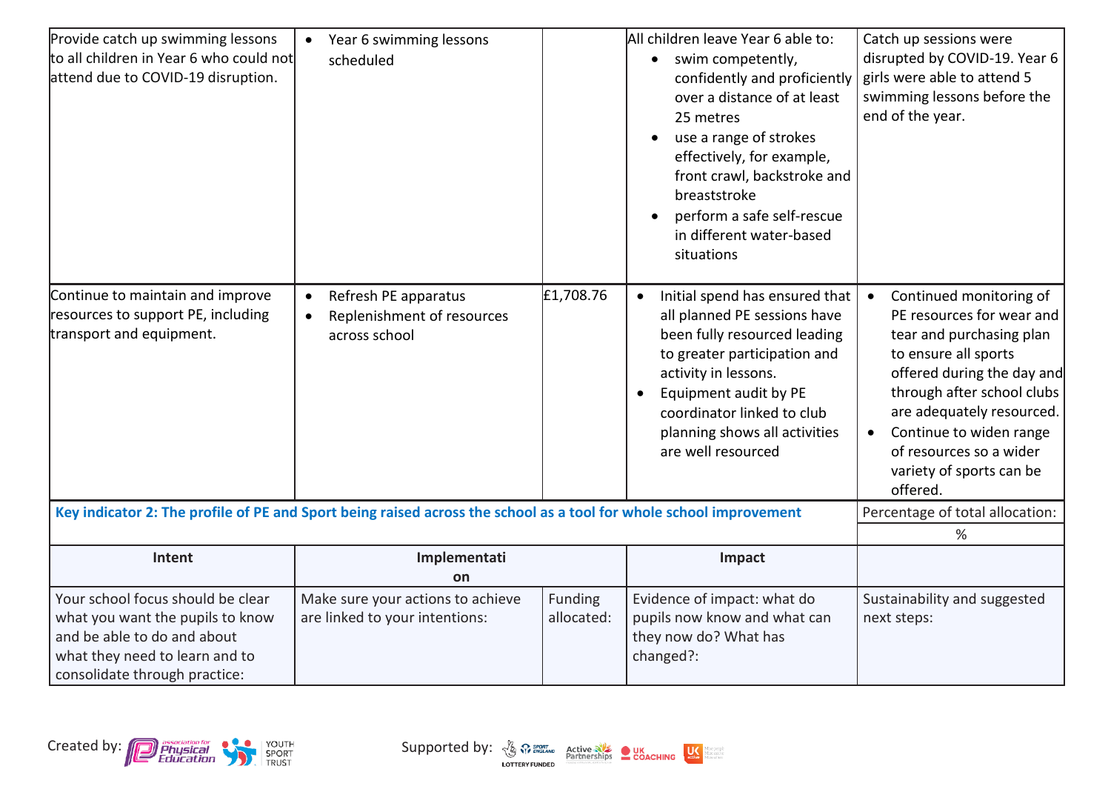| Provide catch up swimming lessons<br>to all children in Year 6 who could not<br>attend due to COVID-19 disruption.                                                      | Year 6 swimming lessons<br>$\bullet$<br>scheduled                                                                  |                       | All children leave Year 6 able to:<br>swim competently,<br>confidently and proficiently<br>over a distance of at least<br>25 metres<br>use a range of strokes<br>$\bullet$<br>effectively, for example,<br>front crawl, backstroke and<br>breaststroke<br>perform a safe self-rescue<br>$\bullet$<br>in different water-based<br>situations | Catch up sessions were<br>disrupted by COVID-19. Year 6<br>girls were able to attend 5<br>swimming lessons before the<br>end of the year.                                                                                                                                                                                 |
|-------------------------------------------------------------------------------------------------------------------------------------------------------------------------|--------------------------------------------------------------------------------------------------------------------|-----------------------|---------------------------------------------------------------------------------------------------------------------------------------------------------------------------------------------------------------------------------------------------------------------------------------------------------------------------------------------|---------------------------------------------------------------------------------------------------------------------------------------------------------------------------------------------------------------------------------------------------------------------------------------------------------------------------|
| Continue to maintain and improve<br>resources to support PE, including<br>transport and equipment.                                                                      | Refresh PE apparatus<br>$\bullet$<br>Replenishment of resources<br>$\bullet$<br>across school                      | £1,708.76             | Initial spend has ensured that<br>$\bullet$<br>all planned PE sessions have<br>been fully resourced leading<br>to greater participation and<br>activity in lessons.<br>Equipment audit by PE<br>$\bullet$<br>coordinator linked to club<br>planning shows all activities<br>are well resourced                                              | Continued monitoring of<br>$\bullet$<br>PE resources for wear and<br>tear and purchasing plan<br>to ensure all sports<br>offered during the day and<br>through after school clubs<br>are adequately resourced.<br>Continue to widen range<br>$\bullet$<br>of resources so a wider<br>variety of sports can be<br>offered. |
|                                                                                                                                                                         | Key indicator 2: The profile of PE and Sport being raised across the school as a tool for whole school improvement |                       |                                                                                                                                                                                                                                                                                                                                             | Percentage of total allocation:                                                                                                                                                                                                                                                                                           |
|                                                                                                                                                                         |                                                                                                                    |                       |                                                                                                                                                                                                                                                                                                                                             | %                                                                                                                                                                                                                                                                                                                         |
| Intent                                                                                                                                                                  | Implementati<br>on                                                                                                 |                       | Impact                                                                                                                                                                                                                                                                                                                                      |                                                                                                                                                                                                                                                                                                                           |
| Your school focus should be clear<br>what you want the pupils to know<br>and be able to do and about<br>what they need to learn and to<br>consolidate through practice: | Make sure your actions to achieve<br>are linked to your intentions:                                                | Funding<br>allocated: | Evidence of impact: what do<br>pupils now know and what can<br>they now do? What has<br>changed?:                                                                                                                                                                                                                                           | Sustainability and suggested<br>next steps:                                                                                                                                                                                                                                                                               |

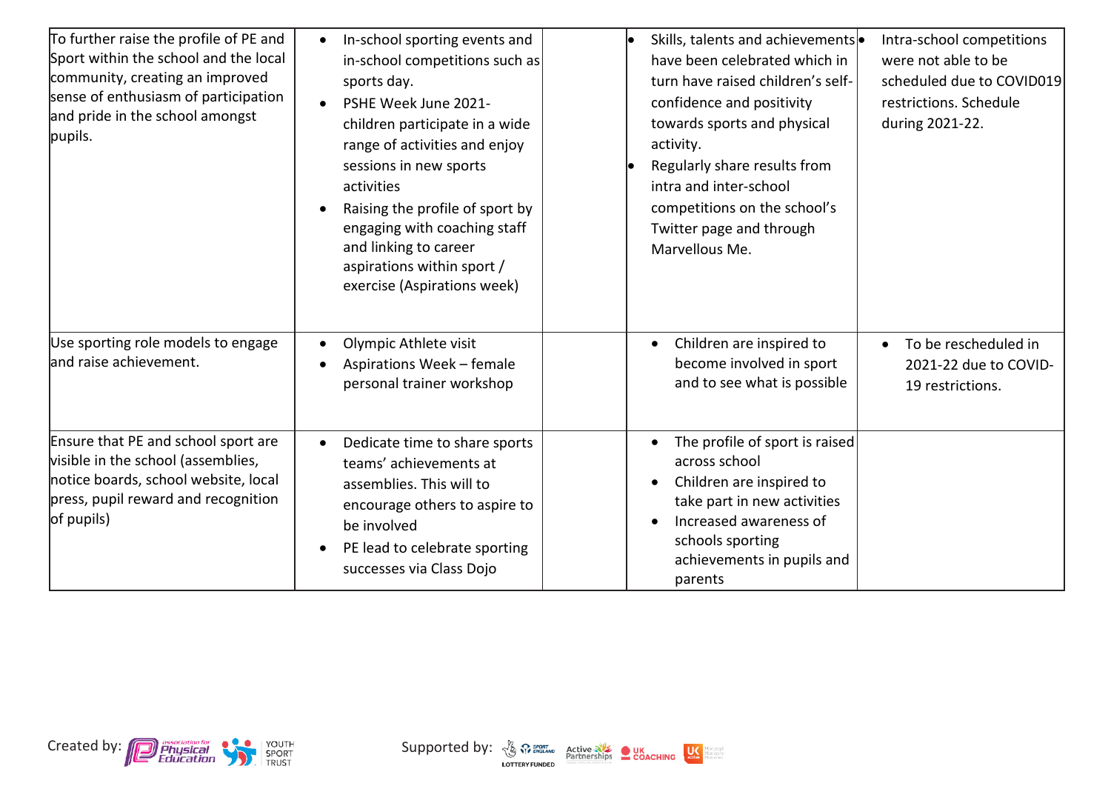| To further raise the profile of PE and<br>Sport within the school and the local<br>community, creating an improved<br>sense of enthusiasm of participation<br>and pride in the school amongst<br>pupils. | In-school sporting events and<br>$\bullet$<br>in-school competitions such as<br>sports day.<br>PSHE Week June 2021-<br>children participate in a wide<br>range of activities and enjoy<br>sessions in new sports<br>activities<br>Raising the profile of sport by<br>$\bullet$<br>engaging with coaching staff<br>and linking to career<br>aspirations within sport /<br>exercise (Aspirations week) | Skills, talents and achievements .<br>have been celebrated which in<br>turn have raised children's self-<br>confidence and positivity<br>towards sports and physical<br>activity.<br>Regularly share results from<br>intra and inter-school<br>competitions on the school's<br>Twitter page and through<br>Marvellous Me. | Intra-school competitions<br>were not able to be<br>scheduled due to COVID019<br>restrictions. Schedule<br>during 2021-22. |
|----------------------------------------------------------------------------------------------------------------------------------------------------------------------------------------------------------|------------------------------------------------------------------------------------------------------------------------------------------------------------------------------------------------------------------------------------------------------------------------------------------------------------------------------------------------------------------------------------------------------|---------------------------------------------------------------------------------------------------------------------------------------------------------------------------------------------------------------------------------------------------------------------------------------------------------------------------|----------------------------------------------------------------------------------------------------------------------------|
| Use sporting role models to engage<br>and raise achievement.                                                                                                                                             | Olympic Athlete visit<br>$\bullet$<br>Aspirations Week - female<br>$\bullet$<br>personal trainer workshop                                                                                                                                                                                                                                                                                            | Children are inspired to<br>$\bullet$<br>become involved in sport<br>and to see what is possible                                                                                                                                                                                                                          | To be rescheduled in<br>$\bullet$<br>2021-22 due to COVID-<br>19 restrictions.                                             |
| Ensure that PE and school sport are<br>visible in the school (assemblies,<br>notice boards, school website, local<br>press, pupil reward and recognition<br>of pupils)                                   | Dedicate time to share sports<br>$\bullet$<br>teams' achievements at<br>assemblies. This will to<br>encourage others to aspire to<br>be involved<br>PE lead to celebrate sporting<br>successes via Class Dojo                                                                                                                                                                                        | The profile of sport is raised<br>$\bullet$<br>across school<br>Children are inspired to<br>$\bullet$<br>take part in new activities<br>Increased awareness of<br>$\bullet$<br>schools sporting<br>achievements in pupils and<br>parents                                                                                  |                                                                                                                            |

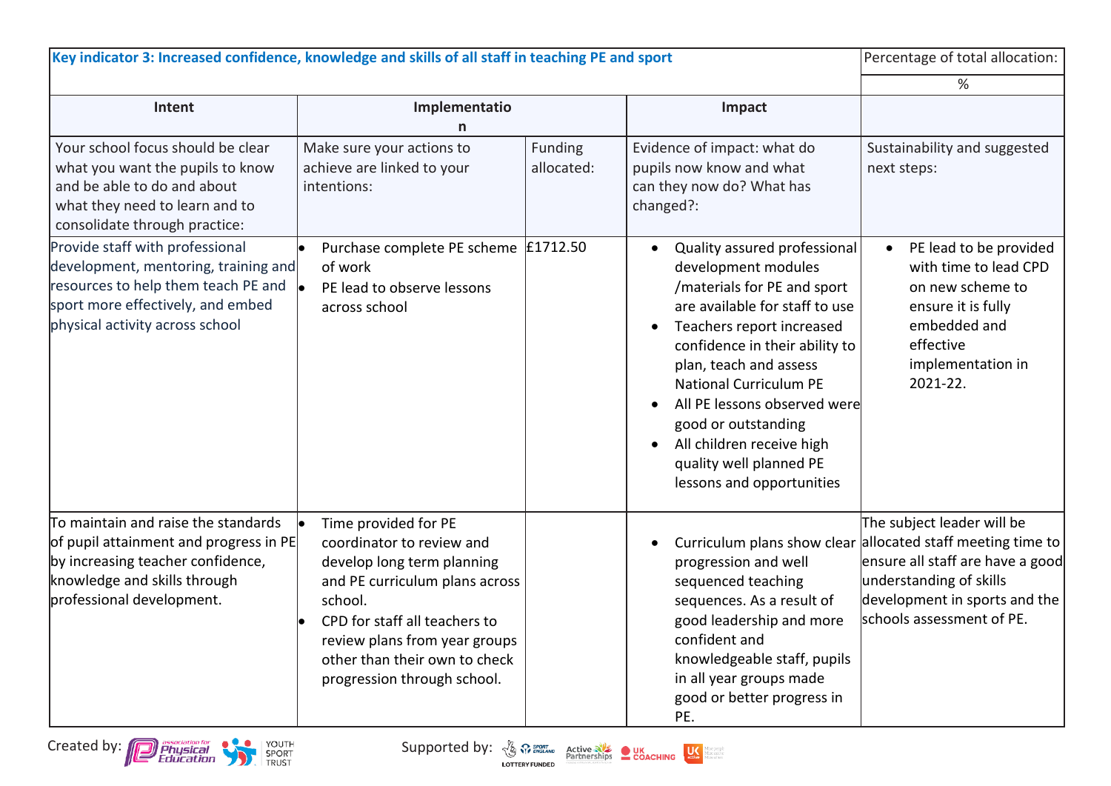| Key indicator 3: Increased confidence, knowledge and skills of all staff in teaching PE and sport                                                                                                        |                                                                                                                                                                                                                                                                |                       |                                                                                                                                                                                                                                                                                                                                                                                                         | Percentage of total allocation:                                                                                                                                                                                        |
|----------------------------------------------------------------------------------------------------------------------------------------------------------------------------------------------------------|----------------------------------------------------------------------------------------------------------------------------------------------------------------------------------------------------------------------------------------------------------------|-----------------------|---------------------------------------------------------------------------------------------------------------------------------------------------------------------------------------------------------------------------------------------------------------------------------------------------------------------------------------------------------------------------------------------------------|------------------------------------------------------------------------------------------------------------------------------------------------------------------------------------------------------------------------|
|                                                                                                                                                                                                          |                                                                                                                                                                                                                                                                |                       |                                                                                                                                                                                                                                                                                                                                                                                                         | %                                                                                                                                                                                                                      |
| Intent                                                                                                                                                                                                   | Implementatio                                                                                                                                                                                                                                                  |                       | Impact                                                                                                                                                                                                                                                                                                                                                                                                  |                                                                                                                                                                                                                        |
| Your school focus should be clear<br>what you want the pupils to know<br>and be able to do and about<br>what they need to learn and to<br>consolidate through practice:                                  | Make sure your actions to<br>achieve are linked to your<br>intentions:                                                                                                                                                                                         | Funding<br>allocated: | Evidence of impact: what do<br>pupils now know and what<br>can they now do? What has<br>changed?:                                                                                                                                                                                                                                                                                                       | Sustainability and suggested<br>next steps:                                                                                                                                                                            |
| Provide staff with professional<br>development, mentoring, training and<br>resources to help them teach PE and $\vert_{\bullet}$<br>sport more effectively, and embed<br>physical activity across school | Purchase complete PE scheme<br>of work<br>PE lead to observe lessons<br>across school                                                                                                                                                                          | £1712.50              | Quality assured professional<br>development modules<br>/materials for PE and sport<br>are available for staff to use<br>Teachers report increased<br>$\bullet$<br>confidence in their ability to<br>plan, teach and assess<br><b>National Curriculum PE</b><br>All PE lessons observed were<br>good or outstanding<br>All children receive high<br>quality well planned PE<br>lessons and opportunities | PE lead to be provided<br>with time to lead CPD<br>on new scheme to<br>ensure it is fully<br>embedded and<br>effective<br>implementation in<br>2021-22.                                                                |
| To maintain and raise the standards<br>of pupil attainment and progress in PE<br>by increasing teacher confidence,<br>knowledge and skills through<br>professional development.                          | Time provided for PE<br>coordinator to review and<br>develop long term planning<br>and PE curriculum plans across<br>school.<br>CPD for staff all teachers to<br>review plans from year groups<br>other than their own to check<br>progression through school. |                       | progression and well<br>sequenced teaching<br>sequences. As a result of<br>good leadership and more<br>confident and<br>knowledgeable staff, pupils<br>in all year groups made<br>good or better progress in<br>PE.                                                                                                                                                                                     | The subject leader will be<br>Curriculum plans show clear allocated staff meeting time to<br>ensure all staff are have a good<br>understanding of skills<br>development in sports and the<br>schools assessment of PE. |

Created by: **Consumer Consumer Consumer Supported by:**  $\frac{N}{2}$   $\frac{N}{2}$   $\frac{P_{\text{outflow}}}{P_{\text{outflow}}}$  **COACHING** 

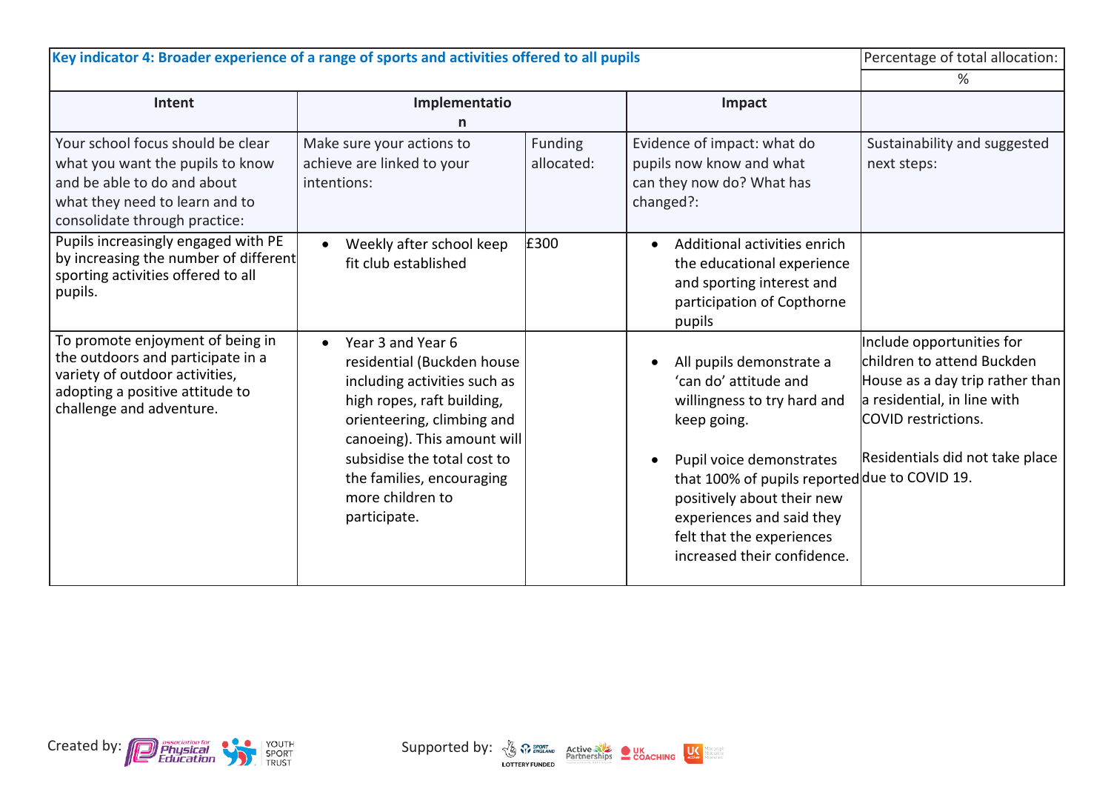| Key indicator 4: Broader experience of a range of sports and activities offered to all pupils                                                                           |                                                                                                                                                                                                                                                                            | Percentage of total allocation: |                                                                                                                                                                                                                                                                                                                               |                                                                                                                                                                                     |
|-------------------------------------------------------------------------------------------------------------------------------------------------------------------------|----------------------------------------------------------------------------------------------------------------------------------------------------------------------------------------------------------------------------------------------------------------------------|---------------------------------|-------------------------------------------------------------------------------------------------------------------------------------------------------------------------------------------------------------------------------------------------------------------------------------------------------------------------------|-------------------------------------------------------------------------------------------------------------------------------------------------------------------------------------|
|                                                                                                                                                                         |                                                                                                                                                                                                                                                                            |                                 |                                                                                                                                                                                                                                                                                                                               | %                                                                                                                                                                                   |
| Intent                                                                                                                                                                  | Implementatio                                                                                                                                                                                                                                                              |                                 | Impact                                                                                                                                                                                                                                                                                                                        |                                                                                                                                                                                     |
|                                                                                                                                                                         |                                                                                                                                                                                                                                                                            |                                 |                                                                                                                                                                                                                                                                                                                               |                                                                                                                                                                                     |
| Your school focus should be clear<br>what you want the pupils to know<br>and be able to do and about<br>what they need to learn and to<br>consolidate through practice: | Make sure your actions to<br>achieve are linked to your<br>intentions:                                                                                                                                                                                                     | Funding<br>allocated:           | Evidence of impact: what do<br>pupils now know and what<br>can they now do? What has<br>changed?:                                                                                                                                                                                                                             | Sustainability and suggested<br>next steps:                                                                                                                                         |
| Pupils increasingly engaged with PE<br>by increasing the number of different<br>sporting activities offered to all<br>pupils.                                           | Weekly after school keep<br>$\bullet$<br>fit club established                                                                                                                                                                                                              | £300                            | Additional activities enrich<br>$\bullet$<br>the educational experience<br>and sporting interest and<br>participation of Copthorne<br>pupils                                                                                                                                                                                  |                                                                                                                                                                                     |
| To promote enjoyment of being in<br>the outdoors and participate in a<br>variety of outdoor activities,<br>adopting a positive attitude to<br>challenge and adventure.  | Year 3 and Year 6<br>residential (Buckden house<br>including activities such as<br>high ropes, raft building,<br>orienteering, climbing and<br>canoeing). This amount will<br>subsidise the total cost to<br>the families, encouraging<br>more children to<br>participate. |                                 | All pupils demonstrate a<br>$\bullet$<br>'can do' attitude and<br>willingness to try hard and<br>keep going.<br>Pupil voice demonstrates<br>$\bullet$<br>that 100% of pupils reported due to COVID 19.<br>positively about their new<br>experiences and said they<br>felt that the experiences<br>increased their confidence. | Include opportunities for<br>children to attend Buckden<br>House as a day trip rather than<br>a residential, in line with<br>COVID restrictions.<br>Residentials did not take place |